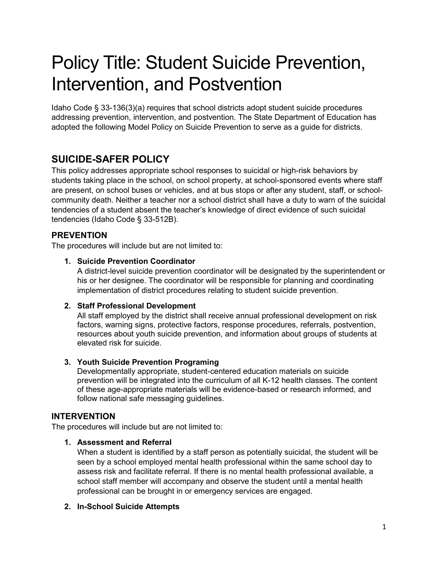# Policy Title: Student Suicide Prevention, Intervention, and Postvention

Idaho Code § 33-136(3)(a) requires that school districts adopt student suicide procedures addressing prevention, intervention, and postvention. The State Department of Education has adopted the following Model Policy on Suicide Prevention to serve as a guide for districts.

# **SUICIDE-SAFER POLICY**

This policy addresses appropriate school responses to suicidal or high-risk behaviors by students taking place in the school, on school property, at school-sponsored events where staff are present, on school buses or vehicles, and at bus stops or after any student, staff, or schoolcommunity death. Neither a teacher nor a school district shall have a duty to warn of the suicidal tendencies of a student absent the teacher's knowledge of direct evidence of such suicidal tendencies (Idaho Code § 33-512B).

# **PREVENTION**

The procedures will include but are not limited to:

# **1. Suicide Prevention Coordinator**

A district-level suicide prevention coordinator will be designated by the superintendent or his or her designee. The coordinator will be responsible for planning and coordinating implementation of district procedures relating to student suicide prevention.

# **2. Staff Professional Development**

All staff employed by the district shall receive annual professional development on risk factors, warning signs, protective factors, response procedures, referrals, postvention, resources about youth suicide prevention, and information about groups of students at elevated risk for suicide.

# **3. Youth Suicide Prevention Programing**

Developmentally appropriate, student-centered education materials on suicide prevention will be integrated into the curriculum of all K-12 health classes. The content of these age-appropriate materials will be evidence-based or research informed, and follow national safe messaging guidelines.

# **INTERVENTION**

The procedures will include but are not limited to:

# **1. Assessment and Referral**

When a student is identified by a staff person as potentially suicidal, the student will be seen by a school employed mental health professional within the same school day to assess risk and facilitate referral. If there is no mental health professional available, a school staff member will accompany and observe the student until a mental health professional can be brought in or emergency services are engaged.

# **2. In-School Suicide Attempts**